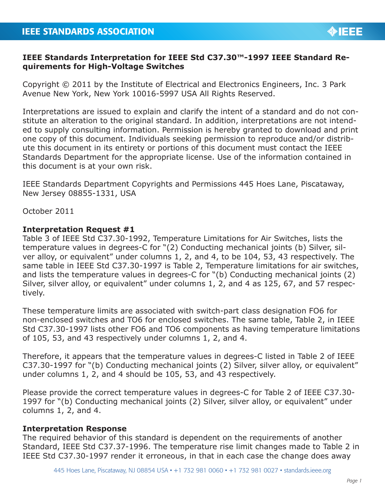## **IEEE Standards Interpretation for IEEE Std C37.30™-1997 IEEE Standard Requirements for High-Voltage Switches**

Copyright © 2011 by the Institute of Electrical and Electronics Engineers, Inc. 3 Park Avenue New York, New York 10016-5997 USA All Rights Reserved.

Interpretations are issued to explain and clarify the intent of a standard and do not constitute an alteration to the original standard. In addition, interpretations are not intended to supply consulting information. Permission is hereby granted to download and print one copy of this document. Individuals seeking permission to reproduce and/or distribute this document in its entirety or portions of this document must contact the IEEE Standards Department for the appropriate license. Use of the information contained in this document is at your own risk.

IEEE Standards Department Copyrights and Permissions 445 Hoes Lane, Piscataway, New Jersey 08855-1331, USA

October 2011

## **Interpretation Request #1**

Table 3 of IEEE Std C37.30-1992, Temperature Limitations for Air Switches, lists the temperature values in degrees-C for "(2) Conducting mechanical joints (b) Silver, silver alloy, or equivalent" under columns 1, 2, and 4, to be 104, 53, 43 respectively. The same table in IEEE Std C37.30-1997 is Table 2, Temperature limitations for air switches, and lists the temperature values in degrees-C for "(b) Conducting mechanical joints (2) Silver, silver alloy, or equivalent" under columns 1, 2, and 4 as 125, 67, and 57 respectively.

These temperature limits are associated with switch-part class designation FO6 for non-enclosed switches and TO6 for enclosed switches. The same table, Table 2, in IEEE Std C37.30-1997 lists other FO6 and TO6 components as having temperature limitations of 105, 53, and 43 respectively under columns 1, 2, and 4.

Therefore, it appears that the temperature values in degrees-C listed in Table 2 of IEEE C37.30-1997 for "(b) Conducting mechanical joints (2) Silver, silver alloy, or equivalent" under columns 1, 2, and 4 should be 105, 53, and 43 respectively.

Please provide the correct temperature values in degrees-C for Table 2 of IEEE C37.30- 1997 for "(b) Conducting mechanical joints (2) Silver, silver alloy, or equivalent" under columns 1, 2, and 4.

## **Interpretation Response**

The required behavior of this standard is dependent on the requirements of another Standard, IEEE Std C37.37-1996. The temperature rise limit changes made to Table 2 in IEEE Std C37.30-1997 render it erroneous, in that in each case the change does away

**OIEEE**